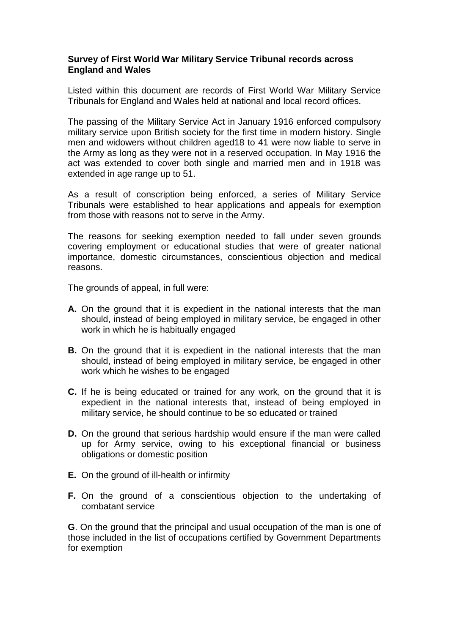#### **Survey of First World War Military Service Tribunal records across England and Wales**

Listed within this document are records of First World War Military Service Tribunals for England and Wales held at national and local record offices.

The passing of the Military Service Act in January 1916 enforced compulsory military service upon British society for the first time in modern history. Single men and widowers without children aged18 to 41 were now liable to serve in the Army as long as they were not in a reserved occupation. In May 1916 the act was extended to cover both single and married men and in 1918 was extended in age range up to 51.

As a result of conscription being enforced, a series of Military Service Tribunals were established to hear applications and appeals for exemption from those with reasons not to serve in the Army.

The reasons for seeking exemption needed to fall under seven grounds covering employment or educational studies that were of greater national importance, domestic circumstances, conscientious objection and medical reasons.

The grounds of appeal, in full were:

- **A.** On the ground that it is expedient in the national interests that the man should, instead of being employed in military service, be engaged in other work in which he is habitually engaged
- **B.** On the ground that it is expedient in the national interests that the man should, instead of being employed in military service, be engaged in other work which he wishes to be engaged
- **C.** If he is being educated or trained for any work, on the ground that it is expedient in the national interests that, instead of being employed in military service, he should continue to be so educated or trained
- **D.** On the ground that serious hardship would ensure if the man were called up for Army service, owing to his exceptional financial or business obligations or domestic position
- **E.** On the ground of ill-health or infirmity
- **F.** On the ground of a conscientious objection to the undertaking of combatant service

**G**. On the ground that the principal and usual occupation of the man is one of those included in the list of occupations certified by Government Departments for exemption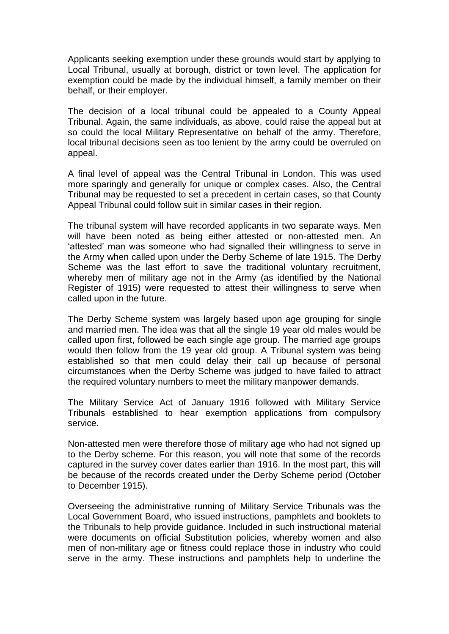Applicants seeking exemption under these grounds would start by applying to Local Tribunal, usually at borough, district or town level. The application for exemption could be made by the individual himself, a family member on their behalf, or their employer.

The decision of a local tribunal could be appealed to a County Appeal Tribunal. Again, the same individuals, as above, could raise the appeal but at so could the local Military Representative on behalf of the army. Therefore, local tribunal decisions seen as too lenient by the army could be overruled on appeal.

A final level of appeal was the Central Tribunal in London. This was used more sparingly and generally for unique or complex cases. Also, the Central Tribunal may be requested to set a precedent in certain cases, so that County Appeal Tribunal could follow suit in similar cases in their region.

The tribunal system will have recorded applicants in two separate ways. Men will have been noted as being either attested or non-attested men. An 'attested' man was someone who had signalled their willingness to serve in the Army when called upon under the Derby Scheme of late 1915. The Derby Scheme was the last effort to save the traditional voluntary recruitment, whereby men of military age not in the Army (as identified by the National Register of 1915) were requested to attest their willingness to serve when called upon in the future.

The Derby Scheme system was largely based upon age grouping for single and married men. The idea was that all the single 19 year old males would be called upon first, followed be each single age group. The married age groups would then follow from the 19 year old group. A Tribunal system was being established so that men could delay their call up because of personal circumstances when the Derby Scheme was judged to have failed to attract the required voluntary numbers to meet the military manpower demands.

The Military Service Act of January 1916 followed with Military Service Tribunals established to hear exemption applications from compulsory service.

Non-attested men were therefore those of military age who had not signed up to the Derby scheme. For this reason, you will note that some of the records captured in the survey cover dates earlier than 1916. In the most part, this will be because of the records created under the Derby Scheme period (October to December 1915).

Overseeing the administrative running of Military Service Tribunals was the Local Government Board, who issued instructions, pamphlets and booklets to the Tribunals to help provide guidance. Included in such instructional material were documents on official Substitution policies, whereby women and also men of non-military age or fitness could replace those in industry who could serve in the army. These instructions and pamphlets help to underline the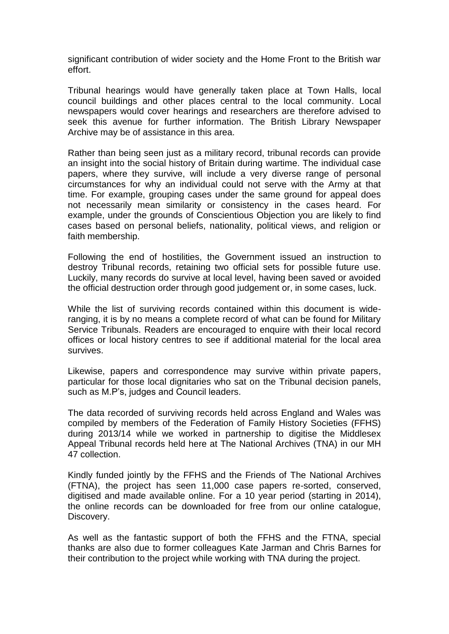significant contribution of wider society and the Home Front to the British war effort.

Tribunal hearings would have generally taken place at Town Halls, local council buildings and other places central to the local community. Local newspapers would cover hearings and researchers are therefore advised to seek this avenue for further information. The British Library Newspaper Archive may be of assistance in this area.

Rather than being seen just as a military record, tribunal records can provide an insight into the social history of Britain during wartime. The individual case papers, where they survive, will include a very diverse range of personal circumstances for why an individual could not serve with the Army at that time. For example, grouping cases under the same ground for appeal does not necessarily mean similarity or consistency in the cases heard. For example, under the grounds of Conscientious Objection you are likely to find cases based on personal beliefs, nationality, political views, and religion or faith membership.

Following the end of hostilities, the Government issued an instruction to destroy Tribunal records, retaining two official sets for possible future use. Luckily, many records do survive at local level, having been saved or avoided the official destruction order through good judgement or, in some cases, luck.

While the list of surviving records contained within this document is wideranging, it is by no means a complete record of what can be found for Military Service Tribunals. Readers are encouraged to enquire with their local record offices or local history centres to see if additional material for the local area survives.

Likewise, papers and correspondence may survive within private papers, particular for those local dignitaries who sat on the Tribunal decision panels, such as M.P's, judges and Council leaders.

The data recorded of surviving records held across England and Wales was compiled by members of the Federation of Family History Societies (FFHS) during 2013/14 while we worked in partnership to digitise the Middlesex Appeal Tribunal records held here at The National Archives (TNA) in our MH 47 collection.

Kindly funded jointly by the FFHS and the Friends of The National Archives (FTNA), the project has seen 11,000 case papers re-sorted, conserved, digitised and made available online. For a 10 year period (starting in 2014), the online records can be downloaded for free from our online catalogue, Discovery.

As well as the fantastic support of both the FFHS and the FTNA, special thanks are also due to former colleagues Kate Jarman and Chris Barnes for their contribution to the project while working with TNA during the project.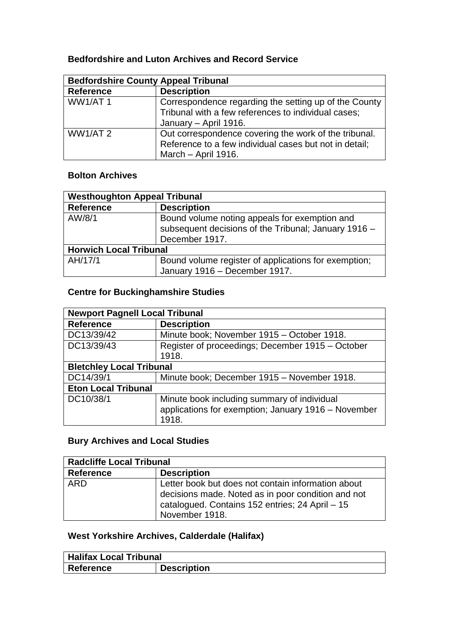### **Bedfordshire and Luton Archives and Record Service**

| <b>Bedfordshire County Appeal Tribunal</b> |                                                                                                                                        |
|--------------------------------------------|----------------------------------------------------------------------------------------------------------------------------------------|
| <b>Reference</b>                           | <b>Description</b>                                                                                                                     |
| <b>WW1/AT1</b>                             | Correspondence regarding the setting up of the County<br>Tribunal with a few references to individual cases;<br>January - April 1916.  |
| WW1/AT2                                    | Out correspondence covering the work of the tribunal.<br>Reference to a few individual cases but not in detail;<br>March - April 1916. |

#### **Bolton Archives**

| <b>Westhoughton Appeal Tribunal</b> |                                                                                                                         |
|-------------------------------------|-------------------------------------------------------------------------------------------------------------------------|
| <b>Reference</b>                    | <b>Description</b>                                                                                                      |
| AW/8/1                              | Bound volume noting appeals for exemption and<br>subsequent decisions of the Tribunal; January 1916 -<br>December 1917. |
| <b>Horwich Local Tribunal</b>       |                                                                                                                         |
| AH/17/1                             | Bound volume register of applications for exemption;<br>January 1916 - December 1917.                                   |

### **Centre for Buckinghamshire Studies**

| <b>Newport Pagnell Local Tribunal</b> |                                                     |
|---------------------------------------|-----------------------------------------------------|
| <b>Reference</b>                      | <b>Description</b>                                  |
| DC13/39/42                            | Minute book; November 1915 - October 1918.          |
| DC13/39/43                            | Register of proceedings; December 1915 – October    |
|                                       | 1918.                                               |
| <b>Bletchley Local Tribunal</b>       |                                                     |
| DC14/39/1                             | Minute book; December 1915 - November 1918.         |
| <b>Eton Local Tribunal</b>            |                                                     |
| DC10/38/1                             | Minute book including summary of individual         |
|                                       | applications for exemption; January 1916 - November |
|                                       | 1918.                                               |

#### **Bury Archives and Local Studies**

| <b>Radcliffe Local Tribunal</b> |                                                                                                                                                                               |  |
|---------------------------------|-------------------------------------------------------------------------------------------------------------------------------------------------------------------------------|--|
| <b>Reference</b>                | <b>Description</b>                                                                                                                                                            |  |
| <b>ARD</b>                      | Letter book but does not contain information about<br>decisions made. Noted as in poor condition and not<br>catalogued. Contains 152 entries; 24 April - 15<br>November 1918. |  |

## **West Yorkshire Archives, Calderdale (Halifax)**

| <b>Halifax Local Tribunal</b> |                    |  |
|-------------------------------|--------------------|--|
| Reference                     | <b>Description</b> |  |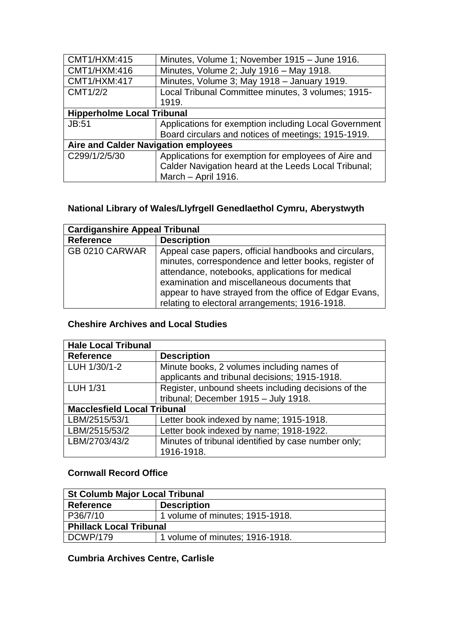| <b>CMT1/HXM:415</b>                  | Minutes, Volume 1; November 1915 - June 1916.         |  |
|--------------------------------------|-------------------------------------------------------|--|
| CMT1/HXM:416                         | Minutes, Volume 2; July 1916 - May 1918.              |  |
| <b>CMT1/HXM:417</b>                  | Minutes, Volume 3; May 1918 - January 1919.           |  |
| CMT1/2/2                             | Local Tribunal Committee minutes, 3 volumes; 1915-    |  |
|                                      | 1919.                                                 |  |
| <b>Hipperholme Local Tribunal</b>    |                                                       |  |
| <b>JB:51</b>                         | Applications for exemption including Local Government |  |
|                                      | Board circulars and notices of meetings; 1915-1919.   |  |
| Aire and Calder Navigation employees |                                                       |  |
| C299/1/2/5/30                        | Applications for exemption for employees of Aire and  |  |
|                                      | Calder Navigation heard at the Leeds Local Tribunal;  |  |
|                                      | March - April 1916.                                   |  |

## **National Library of Wales/Llyfrgell Genedlaethol Cymru, Aberystwyth**

| <b>Cardiganshire Appeal Tribunal</b> |                                                                                                                                                                                                                                                                                                                               |
|--------------------------------------|-------------------------------------------------------------------------------------------------------------------------------------------------------------------------------------------------------------------------------------------------------------------------------------------------------------------------------|
| <b>Reference</b>                     | <b>Description</b>                                                                                                                                                                                                                                                                                                            |
| GB 0210 CARWAR                       | Appeal case papers, official handbooks and circulars,<br>minutes, correspondence and letter books, register of<br>attendance, notebooks, applications for medical<br>examination and miscellaneous documents that<br>appear to have strayed from the office of Edgar Evans,<br>relating to electoral arrangements; 1916-1918. |

### **Cheshire Archives and Local Studies**

| <b>Hale Local Tribunal</b>         |                                                     |  |
|------------------------------------|-----------------------------------------------------|--|
| <b>Reference</b>                   | <b>Description</b>                                  |  |
| LUH 1/30/1-2                       | Minute books, 2 volumes including names of          |  |
|                                    | applicants and tribunal decisions; 1915-1918.       |  |
| <b>LUH 1/31</b>                    | Register, unbound sheets including decisions of the |  |
|                                    | tribunal; December 1915 - July 1918.                |  |
| <b>Macclesfield Local Tribunal</b> |                                                     |  |
| LBM/2515/53/1                      | Letter book indexed by name; 1915-1918.             |  |
| LBM/2515/53/2                      | Letter book indexed by name; 1918-1922.             |  |
| LBM/2703/43/2                      | Minutes of tribunal identified by case number only; |  |
|                                    | 1916-1918.                                          |  |

#### **Cornwall Record Office**

| <b>St Columb Major Local Tribunal</b> |                                 |  |
|---------------------------------------|---------------------------------|--|
| Reference                             | <b>Description</b>              |  |
| P36/7/10                              | 1 volume of minutes; 1915-1918. |  |
| <b>Phillack Local Tribunal</b>        |                                 |  |
| DCWP/179                              | 1 volume of minutes; 1916-1918. |  |

## **Cumbria Archives Centre, Carlisle**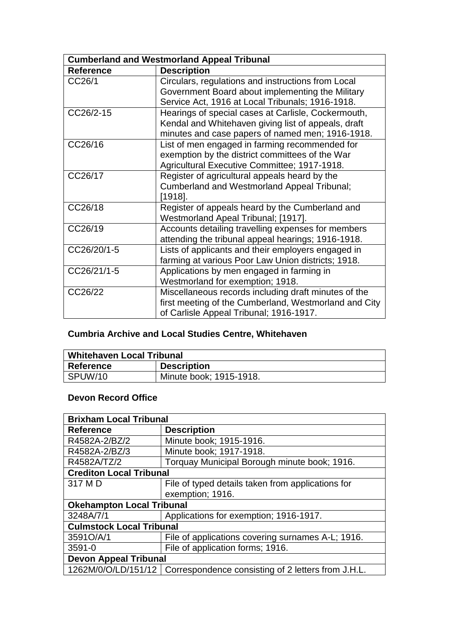| <b>Cumberland and Westmorland Appeal Tribunal</b> |                                                                                                                                                                |
|---------------------------------------------------|----------------------------------------------------------------------------------------------------------------------------------------------------------------|
| <b>Reference</b>                                  | <b>Description</b>                                                                                                                                             |
| CC26/1                                            | Circulars, regulations and instructions from Local<br>Government Board about implementing the Military<br>Service Act, 1916 at Local Tribunals; 1916-1918.     |
| CC26/2-15                                         | Hearings of special cases at Carlisle, Cockermouth,<br>Kendal and Whitehaven giving list of appeals, draft<br>minutes and case papers of named men; 1916-1918. |
| CC26/16                                           | List of men engaged in farming recommended for<br>exemption by the district committees of the War<br>Agricultural Executive Committee; 1917-1918.              |
| CC26/17                                           | Register of agricultural appeals heard by the<br>Cumberland and Westmorland Appeal Tribunal;<br>$[1918]$ .                                                     |
| CC26/18                                           | Register of appeals heard by the Cumberland and<br>Westmorland Apeal Tribunal; [1917].                                                                         |
| CC26/19                                           | Accounts detailing travelling expenses for members<br>attending the tribunal appeal hearings; 1916-1918.                                                       |
| CC26/20/1-5                                       | Lists of applicants and their employers engaged in<br>farming at various Poor Law Union districts; 1918.                                                       |
| CC26/21/1-5                                       | Applications by men engaged in farming in<br>Westmorland for exemption; 1918.                                                                                  |
| CC26/22                                           | Miscellaneous records including draft minutes of the<br>first meeting of the Cumberland, Westmorland and City<br>of Carlisle Appeal Tribunal; 1916-1917.       |

## **Cumbria Archive and Local Studies Centre, Whitehaven**

| Whitehaven Local Tribunal |                         |
|---------------------------|-------------------------|
| Reference                 | <b>Description</b>      |
| l SPUW/10                 | Minute book; 1915-1918. |

### **Devon Record Office**

| <b>Brixham Local Tribunal</b>    |                                                                          |  |
|----------------------------------|--------------------------------------------------------------------------|--|
| <b>Reference</b>                 | <b>Description</b>                                                       |  |
| R4582A-2/BZ/2                    | Minute book; 1915-1916.                                                  |  |
| R4582A-2/BZ/3                    | Minute book; 1917-1918.                                                  |  |
| R4582A/TZ/2                      | Torquay Municipal Borough minute book; 1916.                             |  |
| <b>Crediton Local Tribunal</b>   |                                                                          |  |
| 317 M D                          | File of typed details taken from applications for                        |  |
|                                  | exemption; 1916.                                                         |  |
| <b>Okehampton Local Tribunal</b> |                                                                          |  |
| 3248A/7/1                        | Applications for exemption; 1916-1917.                                   |  |
| <b>Culmstock Local Tribunal</b>  |                                                                          |  |
| 3591O/A/1                        | File of applications covering surnames A-L; 1916.                        |  |
| $3591 - 0$                       | File of application forms: 1916.                                         |  |
| <b>Devon Appeal Tribunal</b>     |                                                                          |  |
|                                  | 1262M/0/O/LD/151/12   Correspondence consisting of 2 letters from J.H.L. |  |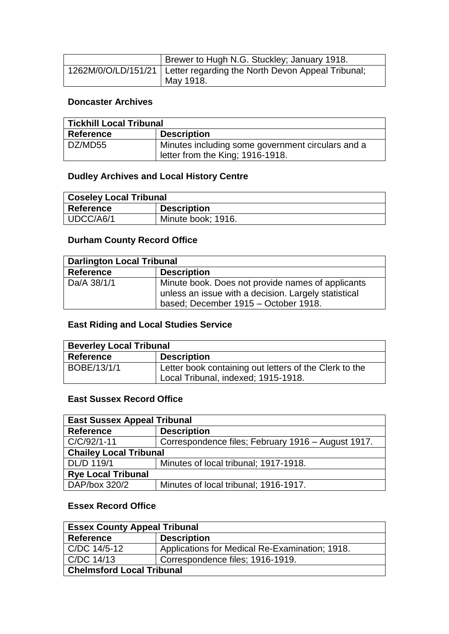| Brewer to Hugh N.G. Stuckley; January 1918.                             |
|-------------------------------------------------------------------------|
| 1262M/0/O/LD/151/21   Letter regarding the North Devon Appeal Tribunal; |
| May 1918.                                                               |

#### **Doncaster Archives**

| Tickhill Local Tribunal |                                                                                       |
|-------------------------|---------------------------------------------------------------------------------------|
| Reference               | <b>Description</b>                                                                    |
| DZ/MD55                 | Minutes including some government circulars and a<br>letter from the King; 1916-1918. |

#### **Dudley Archives and Local History Centre**

| <b>Coseley Local Tribunal</b> |                    |
|-------------------------------|--------------------|
| <b>Reference</b>              | <b>Description</b> |
| UDCC/A6/1                     | Minute book; 1916. |

## **Durham County Record Office**

| <b>Darlington Local Tribunal</b> |                                                                                                                                                   |
|----------------------------------|---------------------------------------------------------------------------------------------------------------------------------------------------|
| Reference                        | <b>Description</b>                                                                                                                                |
| Da/A 38/1/1                      | Minute book. Does not provide names of applicants<br>unless an issue with a decision. Largely statistical<br>based; December 1915 - October 1918. |

#### **East Riding and Local Studies Service**

| <b>Beverley Local Tribunal</b> |                                                                                               |
|--------------------------------|-----------------------------------------------------------------------------------------------|
| <b>Reference</b>               | <b>Description</b>                                                                            |
| BOBE/13/1/1                    | Letter book containing out letters of the Clerk to the<br>Local Tribunal, indexed; 1915-1918. |

#### **East Sussex Record Office**

| <b>East Sussex Appeal Tribunal</b> |                                                    |
|------------------------------------|----------------------------------------------------|
| <b>Reference</b>                   | <b>Description</b>                                 |
| $C/C/92/1-11$                      | Correspondence files; February 1916 - August 1917. |
| <b>Chailey Local Tribunal</b>      |                                                    |
| DL/D 119/1                         | Minutes of local tribunal; 1917-1918.              |
| <b>Rye Local Tribunal</b>          |                                                    |
| DAP/box 320/2                      | Minutes of local tribunal; 1916-1917.              |

#### **Essex Record Office**

| <b>Essex County Appeal Tribunal</b> |                                                |
|-------------------------------------|------------------------------------------------|
| <b>Reference</b>                    | <b>Description</b>                             |
| C/DC 14/5-12                        | Applications for Medical Re-Examination; 1918. |
| C/DC 14/13                          | Correspondence files; 1916-1919.               |
| <b>Chelmsford Local Tribunal</b>    |                                                |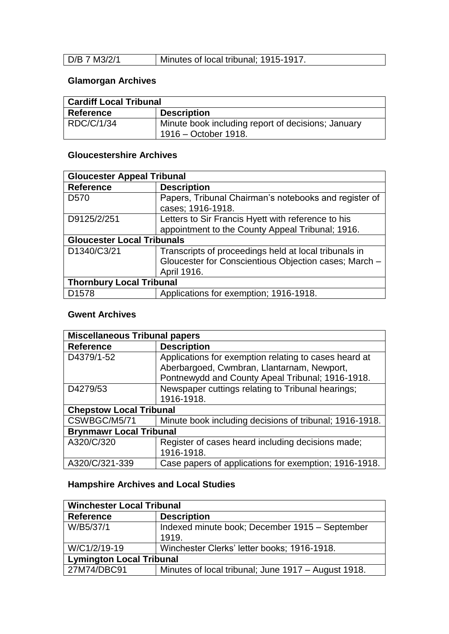| D/B 7 M3/2/1 | Minutes of local tribunal; 1915-1917. |
|--------------|---------------------------------------|
|              |                                       |

## **Glamorgan Archives**

| <b>Cardiff Local Tribunal</b> |                                                                            |
|-------------------------------|----------------------------------------------------------------------------|
| Reference                     | <b>Description</b>                                                         |
| RDC/C/1/34                    | Minute book including report of decisions; January<br>1916 – October 1918. |

### **Gloucestershire Archives**

| <b>Gloucester Appeal Tribunal</b> |                                                                                                                               |
|-----------------------------------|-------------------------------------------------------------------------------------------------------------------------------|
| <b>Reference</b>                  | <b>Description</b>                                                                                                            |
| D <sub>570</sub>                  | Papers, Tribunal Chairman's notebooks and register of<br>cases; 1916-1918.                                                    |
| D9125/2/251                       | Letters to Sir Francis Hyett with reference to his                                                                            |
|                                   | appointment to the County Appeal Tribunal; 1916.                                                                              |
| <b>Gloucester Local Tribunals</b> |                                                                                                                               |
| D1340/C3/21                       | Transcripts of proceedings held at local tribunals in<br>Gloucester for Conscientious Objection cases; March -<br>April 1916. |
| <b>Thornbury Local Tribunal</b>   |                                                                                                                               |
| D <sub>1578</sub>                 | Applications for exemption; 1916-1918.                                                                                        |

#### **Gwent Archives**

| <b>Miscellaneous Tribunal papers</b> |                                                                                                                                                         |  |
|--------------------------------------|---------------------------------------------------------------------------------------------------------------------------------------------------------|--|
| <b>Reference</b>                     | <b>Description</b>                                                                                                                                      |  |
| D4379/1-52                           | Applications for exemption relating to cases heard at<br>Aberbargoed, Cwmbran, Llantarnam, Newport,<br>Pontnewydd and County Apeal Tribunal; 1916-1918. |  |
| D4279/53                             | Newspaper cuttings relating to Tribunal hearings;<br>1916-1918.                                                                                         |  |
| <b>Chepstow Local Tribunal</b>       |                                                                                                                                                         |  |
| CSWBGC/M5/71                         | Minute book including decisions of tribunal; 1916-1918.                                                                                                 |  |
| <b>Brynmawr Local Tribunal</b>       |                                                                                                                                                         |  |
| A320/C/320                           | Register of cases heard including decisions made;<br>1916-1918.                                                                                         |  |
| A320/C/321-339                       | Case papers of applications for exemption; 1916-1918.                                                                                                   |  |

## **Hampshire Archives and Local Studies**

| <b>Winchester Local Tribunal</b> |                                                     |
|----------------------------------|-----------------------------------------------------|
| <b>Reference</b>                 | <b>Description</b>                                  |
| W/B5/37/1                        | Indexed minute book; December 1915 - September      |
|                                  | 1919.                                               |
| W/C1/2/19-19                     | Winchester Clerks' letter books; 1916-1918.         |
| <b>Lymington Local Tribunal</b>  |                                                     |
| 27M74/DBC91                      | Minutes of local tribunal; June 1917 – August 1918. |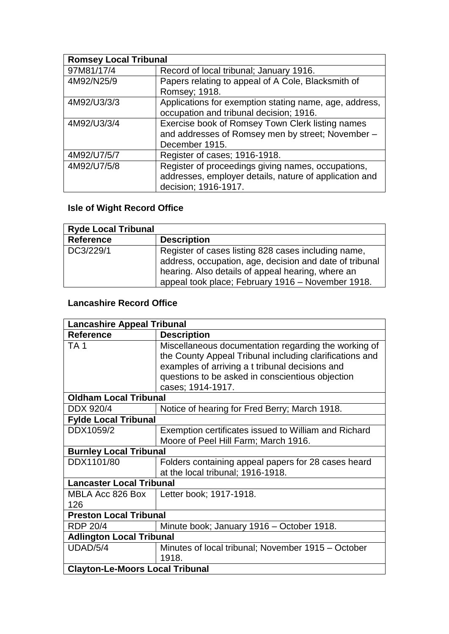| <b>Romsey Local Tribunal</b> |                                                        |
|------------------------------|--------------------------------------------------------|
| 97M81/17/4                   | Record of local tribunal; January 1916.                |
| 4M92/N25/9                   | Papers relating to appeal of A Cole, Blacksmith of     |
|                              | Romsey; 1918.                                          |
| 4M92/U3/3/3                  | Applications for exemption stating name, age, address, |
|                              | occupation and tribunal decision; 1916.                |
| 4M92/U3/3/4                  | Exercise book of Romsey Town Clerk listing names       |
|                              | and addresses of Romsey men by street; November -      |
|                              | December 1915.                                         |
| 4M92/U7/5/7                  | Register of cases; 1916-1918.                          |
| 4M92/U7/5/8                  | Register of proceedings giving names, occupations,     |
|                              | addresses, employer details, nature of application and |
|                              | decision; 1916-1917.                                   |

## **Isle of Wight Record Office**

| <b>Ryde Local Tribunal</b> |                                                                                                                                                                                                                          |
|----------------------------|--------------------------------------------------------------------------------------------------------------------------------------------------------------------------------------------------------------------------|
| Reference                  | <b>Description</b>                                                                                                                                                                                                       |
| DC3/229/1                  | Register of cases listing 828 cases including name,<br>address, occupation, age, decision and date of tribunal<br>hearing. Also details of appeal hearing, where an<br>appeal took place; February 1916 - November 1918. |

## **Lancashire Record Office**

| <b>Lancashire Appeal Tribunal</b>      |                                                                                                                                                                                                                                             |  |
|----------------------------------------|---------------------------------------------------------------------------------------------------------------------------------------------------------------------------------------------------------------------------------------------|--|
| <b>Reference</b>                       | <b>Description</b>                                                                                                                                                                                                                          |  |
| TA <sub>1</sub>                        | Miscellaneous documentation regarding the working of<br>the County Appeal Tribunal including clarifications and<br>examples of arriving a t tribunal decisions and<br>questions to be asked in conscientious objection<br>cases; 1914-1917. |  |
| <b>Oldham Local Tribunal</b>           |                                                                                                                                                                                                                                             |  |
| DDX 920/4                              | Notice of hearing for Fred Berry; March 1918.                                                                                                                                                                                               |  |
| <b>Fylde Local Tribunal</b>            |                                                                                                                                                                                                                                             |  |
| DDX1059/2                              | Exemption certificates issued to William and Richard<br>Moore of Peel Hill Farm; March 1916.                                                                                                                                                |  |
| <b>Burnley Local Tribunal</b>          |                                                                                                                                                                                                                                             |  |
| DDX1101/80                             | Folders containing appeal papers for 28 cases heard<br>at the local tribunal; 1916-1918.                                                                                                                                                    |  |
| <b>Lancaster Local Tribunal</b>        |                                                                                                                                                                                                                                             |  |
| MBLA Acc 826 Box<br>126                | Letter book; 1917-1918.                                                                                                                                                                                                                     |  |
| <b>Preston Local Tribunal</b>          |                                                                                                                                                                                                                                             |  |
| <b>RDP 20/4</b>                        | Minute book; January 1916 - October 1918.                                                                                                                                                                                                   |  |
| <b>Adlington Local Tribunal</b>        |                                                                                                                                                                                                                                             |  |
| UDAD/5/4                               | Minutes of local tribunal; November 1915 - October<br>1918.                                                                                                                                                                                 |  |
| <b>Clayton-Le-Moors Local Tribunal</b> |                                                                                                                                                                                                                                             |  |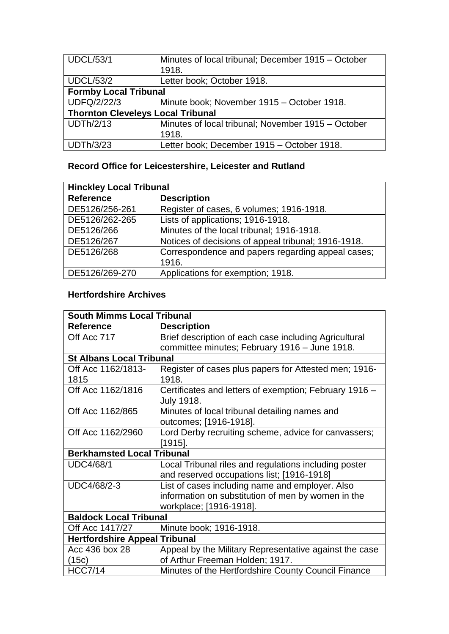| <b>UDCL/53/1</b>                         | Minutes of local tribunal; December 1915 – October<br>1918. |  |
|------------------------------------------|-------------------------------------------------------------|--|
| <b>UDCL/53/2</b>                         | Letter book; October 1918.                                  |  |
| <b>Formby Local Tribunal</b>             |                                                             |  |
| <b>UDFQ/2/22/3</b>                       | Minute book; November 1915 - October 1918.                  |  |
| <b>Thornton Cleveleys Local Tribunal</b> |                                                             |  |
| <b>UDTh/2/13</b>                         | Minutes of local tribunal; November 1915 – October          |  |
|                                          | 1918.                                                       |  |
| <b>UDTh/3/23</b>                         | Letter book; December 1915 - October 1918.                  |  |

## **Record Office for Leicestershire, Leicester and Rutland**

| <b>Hinckley Local Tribunal</b> |                                                     |
|--------------------------------|-----------------------------------------------------|
| <b>Reference</b>               | <b>Description</b>                                  |
| DE5126/256-261                 | Register of cases, 6 volumes; 1916-1918.            |
| DE5126/262-265                 | Lists of applications; 1916-1918.                   |
| DE5126/266                     | Minutes of the local tribunal; 1916-1918.           |
| DE5126/267                     | Notices of decisions of appeal tribunal; 1916-1918. |
| DE5126/268                     | Correspondence and papers regarding appeal cases;   |
|                                | 1916.                                               |
| DE5126/269-270                 | Applications for exemption; 1918.                   |

## **Hertfordshire Archives**

| <b>South Mimms Local Tribunal</b>    |                                                        |
|--------------------------------------|--------------------------------------------------------|
| <b>Reference</b>                     | <b>Description</b>                                     |
| Off Acc 717                          | Brief description of each case including Agricultural  |
|                                      | committee minutes; February 1916 - June 1918.          |
| <b>St Albans Local Tribunal</b>      |                                                        |
| Off Acc 1162/1813-                   | Register of cases plus papers for Attested men; 1916-  |
| 1815                                 | 1918.                                                  |
| Off Acc 1162/1816                    | Certificates and letters of exemption; February 1916 - |
|                                      | <b>July 1918.</b>                                      |
| Off Acc 1162/865                     | Minutes of local tribunal detailing names and          |
|                                      | outcomes; [1916-1918].                                 |
| Off Acc 1162/2960                    | Lord Derby recruiting scheme, advice for canvassers;   |
|                                      | $[1915]$ .                                             |
| <b>Berkhamsted Local Tribunal</b>    |                                                        |
| <b>UDC4/68/1</b>                     | Local Tribunal riles and regulations including poster  |
|                                      | and reserved occupations list; [1916-1918]             |
| UDC4/68/2-3                          | List of cases including name and employer. Also        |
|                                      | information on substitution of men by women in the     |
|                                      | workplace; [1916-1918].                                |
| <b>Baldock Local Tribunal</b>        |                                                        |
| Off Acc 1417/27                      | Minute book; 1916-1918.                                |
| <b>Hertfordshire Appeal Tribunal</b> |                                                        |
| Acc 436 box 28                       | Appeal by the Military Representative against the case |
| (15c)                                | of Arthur Freeman Holden; 1917.                        |
| <b>HCC7/14</b>                       | Minutes of the Hertfordshire County Council Finance    |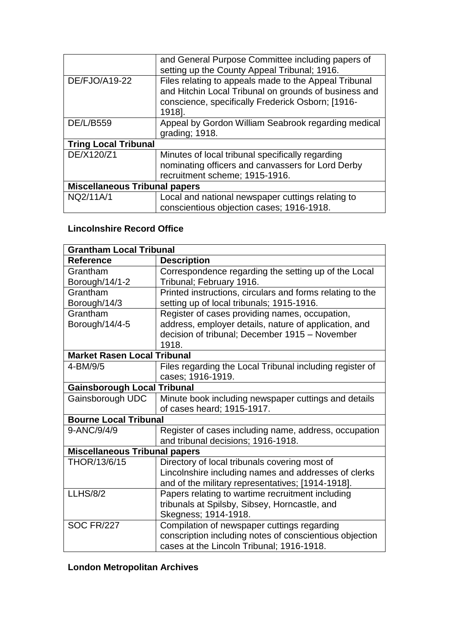|                                      | and General Purpose Committee including papers of<br>setting up the County Appeal Tribunal; 1916.                                                                             |
|--------------------------------------|-------------------------------------------------------------------------------------------------------------------------------------------------------------------------------|
| DE/FJO/A19-22                        | Files relating to appeals made to the Appeal Tribunal<br>and Hitchin Local Tribunal on grounds of business and<br>conscience, specifically Frederick Osborn; [1916-<br>1918]. |
| DE/L/B559                            | Appeal by Gordon William Seabrook regarding medical<br>grading; 1918.                                                                                                         |
| <b>Tring Local Tribunal</b>          |                                                                                                                                                                               |
| DE/X120/Z1                           | Minutes of local tribunal specifically regarding<br>nominating officers and canvassers for Lord Derby<br>recruitment scheme; 1915-1916.                                       |
| <b>Miscellaneous Tribunal papers</b> |                                                                                                                                                                               |
| NQ2/11A/1                            | Local and national newspaper cuttings relating to<br>conscientious objection cases; 1916-1918.                                                                                |

## **Lincolnshire Record Office**

| <b>Grantham Local Tribunal</b>       |                                                           |  |
|--------------------------------------|-----------------------------------------------------------|--|
| <b>Reference</b>                     | <b>Description</b>                                        |  |
| Grantham                             | Correspondence regarding the setting up of the Local      |  |
| Borough/14/1-2                       | Tribunal; February 1916.                                  |  |
| Grantham                             | Printed instructions, circulars and forms relating to the |  |
| Borough/14/3                         | setting up of local tribunals; 1915-1916.                 |  |
| Grantham                             | Register of cases providing names, occupation,            |  |
| Borough/14/4-5                       | address, employer details, nature of application, and     |  |
|                                      | decision of tribunal; December 1915 - November            |  |
|                                      | 1918.                                                     |  |
| <b>Market Rasen Local Tribunal</b>   |                                                           |  |
| 4-BM/9/5                             | Files regarding the Local Tribunal including register of  |  |
|                                      | cases; 1916-1919.                                         |  |
| <b>Gainsborough Local Tribunal</b>   |                                                           |  |
| Gainsborough UDC                     | Minute book including newspaper cuttings and details      |  |
|                                      | of cases heard; 1915-1917.                                |  |
| <b>Bourne Local Tribunal</b>         |                                                           |  |
| 9-ANC/9/4/9                          | Register of cases including name, address, occupation     |  |
|                                      | and tribunal decisions; 1916-1918.                        |  |
| <b>Miscellaneous Tribunal papers</b> |                                                           |  |
| THOR/13/6/15                         | Directory of local tribunals covering most of             |  |
|                                      | Lincolnshire including names and addresses of clerks      |  |
|                                      | and of the military representatives; [1914-1918].         |  |
| <b>LLHS/8/2</b>                      | Papers relating to wartime recruitment including          |  |
|                                      | tribunals at Spilsby, Sibsey, Horncastle, and             |  |
|                                      | Skegness; 1914-1918.                                      |  |
| <b>SOC FR/227</b>                    | Compilation of newspaper cuttings regarding               |  |
|                                      | conscription including notes of conscientious objection   |  |
|                                      | cases at the Lincoln Tribunal; 1916-1918.                 |  |

# **London Metropolitan Archives**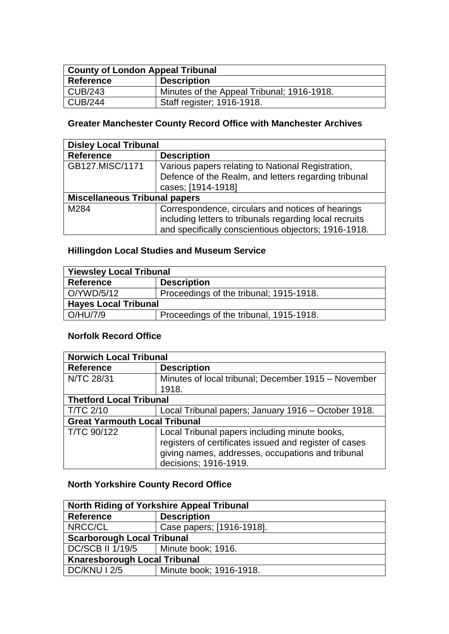| <b>County of London Appeal Tribunal</b> |                                            |
|-----------------------------------------|--------------------------------------------|
| <b>Reference</b>                        | <b>Description</b>                         |
| $\vert$ CUB/243                         | Minutes of the Appeal Tribunal; 1916-1918. |
| $\vert$ CUB/244                         | Staff register; 1916-1918.                 |

## **Greater Manchester County Record Office with Manchester Archives**

| <b>Disley Local Tribunal</b>         |                                                         |
|--------------------------------------|---------------------------------------------------------|
| <b>Reference</b>                     | <b>Description</b>                                      |
| GB127.MISC/1171                      | Various papers relating to National Registration,       |
|                                      | Defence of the Realm, and letters regarding tribunal    |
|                                      | cases; [1914-1918]                                      |
| <b>Miscellaneous Tribunal papers</b> |                                                         |
| M284                                 | Correspondence, circulars and notices of hearings       |
|                                      | including letters to tribunals regarding local recruits |
|                                      | and specifically conscientious objectors; 1916-1918.    |

### **Hillingdon Local Studies and Museum Service**

| <b>Yiewsley Local Tribunal</b> |                                         |
|--------------------------------|-----------------------------------------|
| <b>Reference</b>               | <b>Description</b>                      |
| O/YWD/5/12                     | Proceedings of the tribunal; 1915-1918. |
| <b>Hayes Local Tribunal</b>    |                                         |
| $\big $ O/HU/7/9               | Proceedings of the tribunal, 1915-1918. |

### **Norfolk Record Office**

| <b>Norwich Local Tribunal</b>        |                                                        |  |
|--------------------------------------|--------------------------------------------------------|--|
| <b>Reference</b>                     | <b>Description</b>                                     |  |
| N/TC 28/31                           | Minutes of local tribunal; December 1915 – November    |  |
|                                      | 1918.                                                  |  |
| <b>Thetford Local Tribunal</b>       |                                                        |  |
| <b>T/TC 2/10</b>                     | Local Tribunal papers; January 1916 – October 1918.    |  |
| <b>Great Yarmouth Local Tribunal</b> |                                                        |  |
| T/TC 90/122                          | Local Tribunal papers including minute books,          |  |
|                                      | registers of certificates issued and register of cases |  |
|                                      | giving names, addresses, occupations and tribunal      |  |
|                                      | decisions; 1916-1919.                                  |  |

## **North Yorkshire County Record Office**

| North Riding of Yorkshire Appeal Tribunal |                           |  |
|-------------------------------------------|---------------------------|--|
| <b>Reference</b>                          | <b>Description</b>        |  |
| NRCC/CL                                   | Case papers; [1916-1918]. |  |
| <b>Scarborough Local Tribunal</b>         |                           |  |
| <b>DC/SCB II 1/19/5</b>                   | Minute book; 1916.        |  |
| <b>Knaresborough Local Tribunal</b>       |                           |  |
| DC/KNU I 2/5                              | Minute book; 1916-1918.   |  |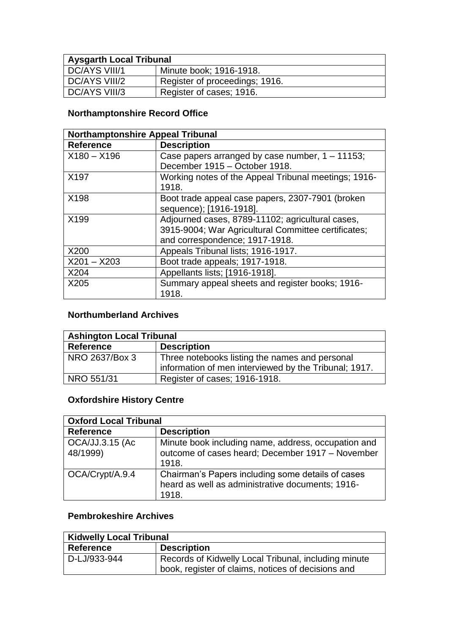| <b>Aysgarth Local Tribunal</b> |                                |  |
|--------------------------------|--------------------------------|--|
| DC/AYS VIII/1                  | Minute book; 1916-1918.        |  |
| DC/AYS VIII/2                  | Register of proceedings; 1916. |  |
| DC/AYS VIII/3                  | Register of cases; 1916.       |  |

## **Northamptonshire Record Office**

| <b>Northamptonshire Appeal Tribunal</b> |                                                                                                                                           |
|-----------------------------------------|-------------------------------------------------------------------------------------------------------------------------------------------|
| <b>Reference</b>                        | <b>Description</b>                                                                                                                        |
| $X180 - X196$                           | Case papers arranged by case number, $1 - 11153$ ;<br>December 1915 - October 1918.                                                       |
| X197                                    | Working notes of the Appeal Tribunal meetings; 1916-<br>1918.                                                                             |
| X198                                    | Boot trade appeal case papers, 2307-7901 (broken<br>sequence); [1916-1918].                                                               |
| X199                                    | Adjourned cases, 8789-11102; agricultural cases,<br>3915-9004; War Agricultural Committee certificates;<br>and correspondence; 1917-1918. |
| X200                                    | Appeals Tribunal lists; 1916-1917.                                                                                                        |
| $X201 - X203$                           | Boot trade appeals; 1917-1918.                                                                                                            |
| X204                                    | Appellants lists; [1916-1918].                                                                                                            |
| X205                                    | Summary appeal sheets and register books; 1916-<br>1918.                                                                                  |

## **Northumberland Archives**

| <b>Ashington Local Tribunal</b> |                                                       |
|---------------------------------|-------------------------------------------------------|
| <b>Reference</b>                | <b>Description</b>                                    |
| NRO 2637/Box 3                  | Three notebooks listing the names and personal        |
|                                 | information of men interviewed by the Tribunal; 1917. |
| NRO 551/31                      | Register of cases; 1916-1918.                         |

## **Oxfordshire History Centre**

| <b>Oxford Local Tribunal</b> |                                                                                                                  |
|------------------------------|------------------------------------------------------------------------------------------------------------------|
| <b>Reference</b>             | <b>Description</b>                                                                                               |
| OCA/JJ.3.15 (Ac<br>48/1999)  | Minute book including name, address, occupation and<br>outcome of cases heard; December 1917 - November<br>1918. |
| $\vert$ OCA/Crypt/A.9.4      | Chairman's Papers including some details of cases<br>heard as well as administrative documents; 1916-<br>1918.   |

## **Pembrokeshire Archives**

| <b>Kidwelly Local Tribunal</b> |                                                                                                            |
|--------------------------------|------------------------------------------------------------------------------------------------------------|
| <b>Reference</b>               | <b>Description</b>                                                                                         |
| D-LJ/933-944                   | Records of Kidwelly Local Tribunal, including minute<br>book, register of claims, notices of decisions and |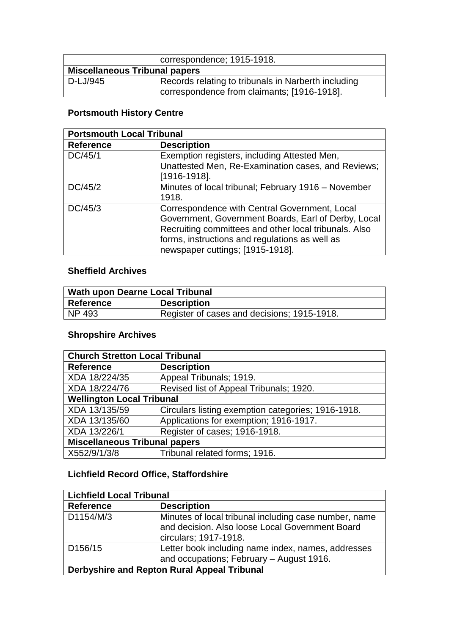|                                      | correspondence; 1915-1918.                                                                         |
|--------------------------------------|----------------------------------------------------------------------------------------------------|
| <b>Miscellaneous Tribunal papers</b> |                                                                                                    |
| D-LJ/945                             | Records relating to tribunals in Narberth including<br>correspondence from claimants; [1916-1918]. |

## **Portsmouth History Centre**

| <b>Portsmouth Local Tribunal</b> |                                                                                                                                                                                                                                                     |
|----------------------------------|-----------------------------------------------------------------------------------------------------------------------------------------------------------------------------------------------------------------------------------------------------|
| <b>Reference</b>                 | <b>Description</b>                                                                                                                                                                                                                                  |
| DC/45/1                          | Exemption registers, including Attested Men,<br>Unattested Men, Re-Examination cases, and Reviews;<br>$[1916-1918]$ .                                                                                                                               |
| DC/45/2                          | Minutes of local tribunal; February 1916 – November<br>1918.                                                                                                                                                                                        |
| DC/45/3                          | Correspondence with Central Government, Local<br>Government, Government Boards, Earl of Derby, Local<br>Recruiting committees and other local tribunals. Also<br>forms, instructions and regulations as well as<br>newspaper cuttings; [1915-1918]. |

### **Sheffield Archives**

| Wath upon Dearne Local Tribunal |                                             |
|---------------------------------|---------------------------------------------|
| <b>Reference</b>                | <b>Description</b>                          |
| NP 493                          | Register of cases and decisions; 1915-1918. |

### **Shropshire Archives**

| <b>Church Stretton Local Tribunal</b> |                                                    |  |
|---------------------------------------|----------------------------------------------------|--|
| <b>Reference</b>                      | <b>Description</b>                                 |  |
| XDA 18/224/35                         | Appeal Tribunals; 1919.                            |  |
| XDA 18/224/76                         | Revised list of Appeal Tribunals; 1920.            |  |
| <b>Wellington Local Tribunal</b>      |                                                    |  |
| XDA 13/135/59                         | Circulars listing exemption categories; 1916-1918. |  |
| XDA 13/135/60                         | Applications for exemption; 1916-1917.             |  |
| XDA 13/226/1                          | Register of cases; 1916-1918.                      |  |
| <b>Miscellaneous Tribunal papers</b>  |                                                    |  |
| X552/9/1/3/8                          | Tribunal related forms; 1916.                      |  |

### **Lichfield Record Office, Staffordshire**

| <b>Lichfield Local Tribunal</b>             |                                                                                                                                   |
|---------------------------------------------|-----------------------------------------------------------------------------------------------------------------------------------|
| <b>Reference</b>                            | <b>Description</b>                                                                                                                |
| D1154/M/3                                   | Minutes of local tribunal including case number, name<br>and decision. Also loose Local Government Board<br>circulars; 1917-1918. |
| D <sub>156</sub> /15                        | Letter book including name index, names, addresses<br>and occupations; February - August 1916.                                    |
| Derbyshire and Repton Rural Appeal Tribunal |                                                                                                                                   |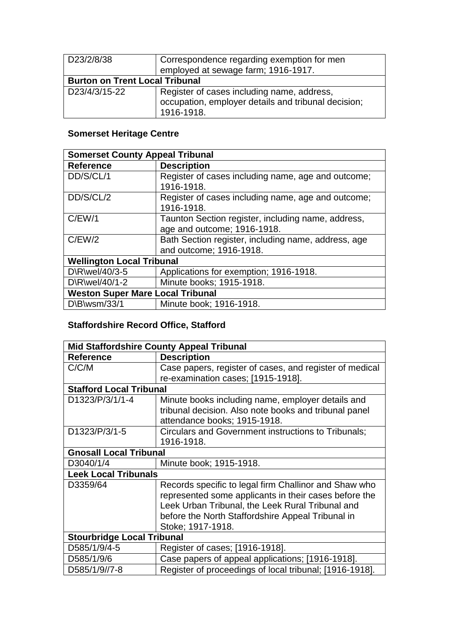| D23/2/8/38                            | Correspondence regarding exemption for men<br>employed at sewage farm; 1916-1917.                               |
|---------------------------------------|-----------------------------------------------------------------------------------------------------------------|
| <b>Burton on Trent Local Tribunal</b> |                                                                                                                 |
| D23/4/3/15-22                         | Register of cases including name, address,<br>occupation, employer details and tribunal decision;<br>1916-1918. |

## **Somerset Heritage Centre**

| <b>Somerset County Appeal Tribunal</b>  |                                                                  |  |
|-----------------------------------------|------------------------------------------------------------------|--|
| <b>Reference</b>                        | <b>Description</b>                                               |  |
| DD/S/CL/1                               | Register of cases including name, age and outcome;<br>1916-1918. |  |
| DD/S/CL/2                               | Register of cases including name, age and outcome;               |  |
|                                         | 1916-1918.                                                       |  |
| C/EW/1                                  | Taunton Section register, including name, address,               |  |
|                                         | age and outcome; 1916-1918.                                      |  |
| C/EW/2                                  | Bath Section register, including name, address, age              |  |
|                                         | and outcome; 1916-1918.                                          |  |
| <b>Wellington Local Tribunal</b>        |                                                                  |  |
| D\R\wel/40/3-5                          | Applications for exemption; 1916-1918.                           |  |
| D\R\wel/40/1-2                          | Minute books; 1915-1918.                                         |  |
| <b>Weston Super Mare Local Tribunal</b> |                                                                  |  |
| D\B\wsm/33/1                            | Minute book; 1916-1918.                                          |  |

### **Staffordshire Record Office, Stafford**

| <b>Mid Staffordshire County Appeal Tribunal</b> |                                                         |
|-------------------------------------------------|---------------------------------------------------------|
| <b>Reference</b>                                | <b>Description</b>                                      |
| C/C/M                                           | Case papers, register of cases, and register of medical |
|                                                 | re-examination cases; [1915-1918].                      |
| <b>Stafford Local Tribunal</b>                  |                                                         |
| D1323/P/3/1/1-4                                 | Minute books including name, employer details and       |
|                                                 | tribunal decision. Also note books and tribunal panel   |
|                                                 | attendance books; 1915-1918.                            |
| D1323/P/3/1-5                                   | Circulars and Government instructions to Tribunals;     |
|                                                 | 1916-1918.                                              |
| <b>Gnosall Local Tribunal</b>                   |                                                         |
| D3040/1/4                                       | Minute book; 1915-1918.                                 |
| <b>Leek Local Tribunals</b>                     |                                                         |
| D3359/64                                        | Records specific to legal firm Challinor and Shaw who   |
|                                                 | represented some applicants in their cases before the   |
|                                                 | Leek Urban Tribunal, the Leek Rural Tribunal and        |
|                                                 | before the North Staffordshire Appeal Tribunal in       |
|                                                 | Stoke; 1917-1918.                                       |
| <b>Stourbridge Local Tribunal</b>               |                                                         |
| D585/1/9/4-5                                    | Register of cases; [1916-1918].                         |
| D585/1/9/6                                      | Case papers of appeal applications; [1916-1918].        |
| D585/1/9//7-8                                   | Register of proceedings of local tribunal; [1916-1918]. |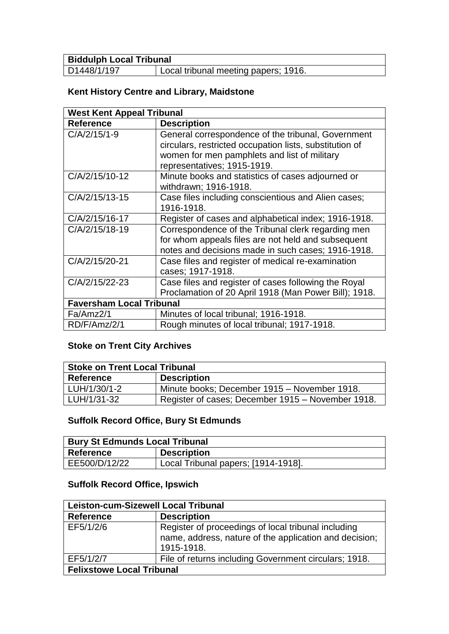| <b>Biddulph Local Tribunal</b> |                                      |
|--------------------------------|--------------------------------------|
| D1448/1/197                    | Local tribunal meeting papers; 1916. |

## **Kent History Centre and Library, Maidstone**

| <b>West Kent Appeal Tribunal</b> |                                                         |
|----------------------------------|---------------------------------------------------------|
| <b>Reference</b>                 | <b>Description</b>                                      |
| C/A/2/15/1-9                     | General correspondence of the tribunal, Government      |
|                                  | circulars, restricted occupation lists, substitution of |
|                                  | women for men pamphlets and list of military            |
|                                  | representatives; 1915-1919.                             |
| C/A/2/15/10-12                   | Minute books and statistics of cases adjourned or       |
|                                  | withdrawn; 1916-1918.                                   |
| C/A/2/15/13-15                   | Case files including conscientious and Alien cases;     |
|                                  | 1916-1918.                                              |
| C/A/2/15/16-17                   | Register of cases and alphabetical index; 1916-1918.    |
| C/A/2/15/18-19                   | Correspondence of the Tribunal clerk regarding men      |
|                                  | for whom appeals files are not held and subsequent      |
|                                  | notes and decisions made in such cases; 1916-1918.      |
| C/A/2/15/20-21                   | Case files and register of medical re-examination       |
|                                  | cases; 1917-1918.                                       |
| C/A/2/15/22-23                   | Case files and register of cases following the Royal    |
|                                  | Proclamation of 20 April 1918 (Man Power Bill); 1918.   |
| <b>Faversham Local Tribunal</b>  |                                                         |
| Fa/Amz2/1                        | Minutes of local tribunal; 1916-1918.                   |
| RD/F/Amz/2/1                     | Rough minutes of local tribunal; 1917-1918.             |

## **Stoke on Trent City Archives**

| <b>Stoke on Trent Local Tribunal</b> |                                                   |
|--------------------------------------|---------------------------------------------------|
| Reference                            | <b>Description</b>                                |
| LUH/1/30/1-2                         | Minute books; December 1915 - November 1918.      |
| LUH/1/31-32                          | Register of cases; December 1915 - November 1918. |

## **Suffolk Record Office, Bury St Edmunds**

| Bury St Edmunds Local Tribunal |                                     |
|--------------------------------|-------------------------------------|
| Reference                      | <b>Description</b>                  |
| EE500/D/12/22                  | Local Tribunal papers; [1914-1918]. |

### **Suffolk Record Office, Ipswich**

| <b>Leiston-cum-Sizewell Local Tribunal</b> |                                                                                                                             |
|--------------------------------------------|-----------------------------------------------------------------------------------------------------------------------------|
| <b>Reference</b>                           | <b>Description</b>                                                                                                          |
| EF5/1/2/6                                  | Register of proceedings of local tribunal including<br>name, address, nature of the application and decision:<br>1915-1918. |
| EF5/1/2/7                                  | File of returns including Government circulars; 1918.                                                                       |
| <b>Felixstowe Local Tribunal</b>           |                                                                                                                             |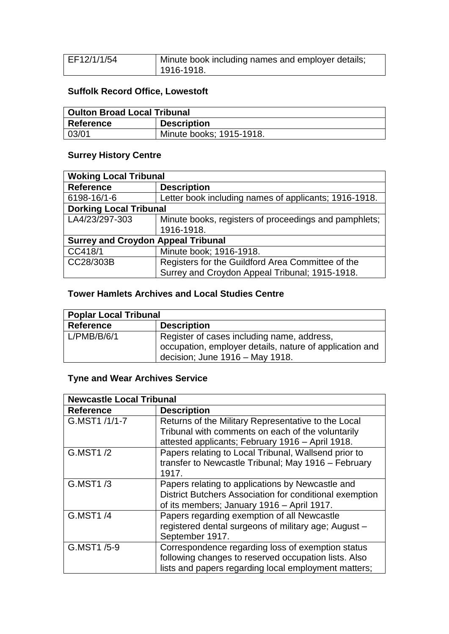| EF12/1/1/54 | Minute book including names and employer details; |
|-------------|---------------------------------------------------|
|             |                                                   |
|             | 1916-1918.                                        |
|             |                                                   |

## **Suffolk Record Office, Lowestoft**

| Oulton Broad Local Tribunal |                          |
|-----------------------------|--------------------------|
| Reference                   | <b>Description</b>       |
| 03/01                       | Minute books; 1915-1918. |

## **Surrey History Centre**

| <b>Woking Local Tribunal</b>              |                                                       |  |
|-------------------------------------------|-------------------------------------------------------|--|
| <b>Reference</b>                          | <b>Description</b>                                    |  |
| 6198-16/1-6                               | Letter book including names of applicants; 1916-1918. |  |
| <b>Dorking Local Tribunal</b>             |                                                       |  |
| LA4/23/297-303                            | Minute books, registers of proceedings and pamphlets; |  |
|                                           | 1916-1918.                                            |  |
| <b>Surrey and Croydon Appeal Tribunal</b> |                                                       |  |
| CC418/1                                   | Minute book; 1916-1918.                               |  |
| CC28/303B                                 | Registers for the Guildford Area Committee of the     |  |
|                                           | Surrey and Croydon Appeal Tribunal; 1915-1918.        |  |

### **Tower Hamlets Archives and Local Studies Centre**

| <b>Poplar Local Tribunal</b> |                                                                                                                                          |
|------------------------------|------------------------------------------------------------------------------------------------------------------------------------------|
| <b>Reference</b>             | <b>Description</b>                                                                                                                       |
| L/PMB/B/6/1                  | Register of cases including name, address,<br>occupation, employer details, nature of application and<br>decision; June 1916 - May 1918. |

## **Tyne and Wear Archives Service**

| <b>Newcastle Local Tribunal</b> |                                                                                                                                                                   |
|---------------------------------|-------------------------------------------------------------------------------------------------------------------------------------------------------------------|
| <b>Reference</b>                | <b>Description</b>                                                                                                                                                |
| G.MST1 /1/1-7                   | Returns of the Military Representative to the Local<br>Tribunal with comments on each of the voluntarily<br>attested applicants; February 1916 - April 1918.      |
| G.MST1/2                        | Papers relating to Local Tribunal, Wallsend prior to<br>transfer to Newcastle Tribunal; May 1916 - February<br>1917.                                              |
| G.MST1/3                        | Papers relating to applications by Newcastle and<br>District Butchers Association for conditional exemption<br>of its members; January 1916 - April 1917.         |
| G.MST1/4                        | Papers regarding exemption of all Newcastle<br>registered dental surgeons of military age; August -<br>September 1917.                                            |
| G.MST1 /5-9                     | Correspondence regarding loss of exemption status<br>following changes to reserved occupation lists. Also<br>lists and papers regarding local employment matters; |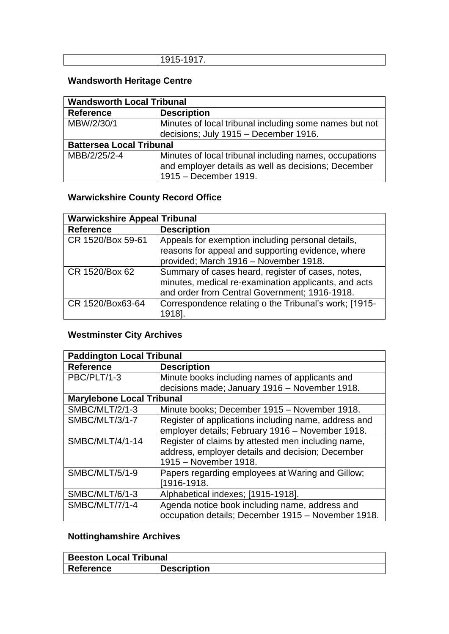| _<br><br>. .<br>. |
|-------------------|

## **Wandsworth Heritage Centre**

| <b>Wandsworth Local Tribunal</b> |                                                        |  |
|----------------------------------|--------------------------------------------------------|--|
| <b>Reference</b>                 | <b>Description</b>                                     |  |
| MBW/2/30/1                       | Minutes of local tribunal including some names but not |  |
|                                  | decisions; July 1915 - December 1916.                  |  |
| <b>Battersea Local Tribunal</b>  |                                                        |  |
| MBB/2/25/2-4                     | Minutes of local tribunal including names, occupations |  |
|                                  | and employer details as well as decisions; December    |  |
|                                  | 1915 - December 1919.                                  |  |

## **Warwickshire County Record Office**

| <b>Warwickshire Appeal Tribunal</b> |                                                       |
|-------------------------------------|-------------------------------------------------------|
| <b>Reference</b>                    | <b>Description</b>                                    |
| CR 1520/Box 59-61                   | Appeals for exemption including personal details,     |
|                                     | reasons for appeal and supporting evidence, where     |
|                                     | provided; March 1916 - November 1918.                 |
| CR 1520/Box 62                      | Summary of cases heard, register of cases, notes,     |
|                                     | minutes, medical re-examination applicants, and acts  |
|                                     | and order from Central Government; 1916-1918.         |
| CR 1520/Box63-64                    | Correspondence relating o the Tribunal's work; [1915- |
|                                     | 1918].                                                |

## **Westminster City Archives**

| <b>Paddington Local Tribunal</b> |                                                      |  |
|----------------------------------|------------------------------------------------------|--|
| <b>Reference</b>                 | <b>Description</b>                                   |  |
| PBC/PLT/1-3                      | Minute books including names of applicants and       |  |
|                                  | decisions made; January 1916 - November 1918.        |  |
| <b>Marylebone Local Tribunal</b> |                                                      |  |
| SMBC/MLT/2/1-3                   | Minute books; December 1915 - November 1918.         |  |
| <b>SMBC/MLT/3/1-7</b>            | Register of applications including name, address and |  |
|                                  | employer details; February 1916 - November 1918.     |  |
| SMBC/MLT/4/1-14                  | Register of claims by attested men including name,   |  |
|                                  | address, employer details and decision; December     |  |
|                                  | 1915 - November 1918.                                |  |
| SMBC/MLT/5/1-9                   | Papers regarding employees at Waring and Gillow;     |  |
|                                  | [1916-1918.                                          |  |
| SMBC/MLT/6/1-3                   | Alphabetical indexes; [1915-1918].                   |  |
| SMBC/MLT/7/1-4                   | Agenda notice book including name, address and       |  |
|                                  | occupation details; December 1915 - November 1918.   |  |

## **Nottinghamshire Archives**

| <b>Beeston Local Tribunal</b> |                    |  |
|-------------------------------|--------------------|--|
| Reference                     | <b>Description</b> |  |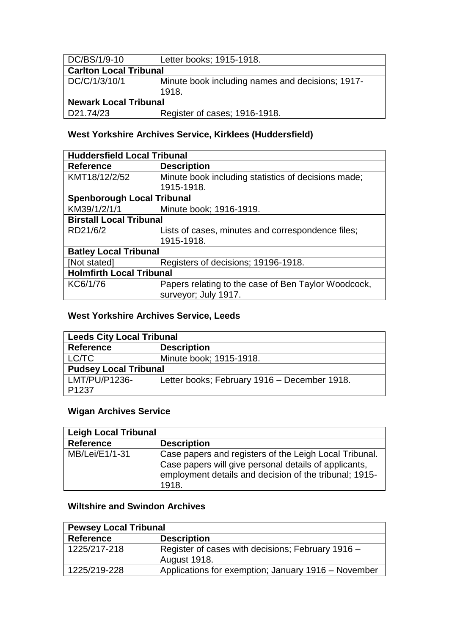| DC/BS/1/9-10                  | Letter books; 1915-1918.                                  |
|-------------------------------|-----------------------------------------------------------|
| <b>Carlton Local Tribunal</b> |                                                           |
| DC/C/1/3/10/1                 | Minute book including names and decisions; 1917-<br>1918. |
| <b>Newark Local Tribunal</b>  |                                                           |
| D21.74/23                     | Register of cases; 1916-1918.                             |

### **West Yorkshire Archives Service, Kirklees (Huddersfield)**

| <b>Huddersfield Local Tribunal</b> |                                                     |  |
|------------------------------------|-----------------------------------------------------|--|
| <b>Reference</b>                   | <b>Description</b>                                  |  |
| KMT18/12/2/52                      | Minute book including statistics of decisions made; |  |
|                                    | 1915-1918.                                          |  |
| <b>Spenborough Local Tribunal</b>  |                                                     |  |
| KM39/1/2/1/1                       | Minute book; 1916-1919.                             |  |
| <b>Birstall Local Tribunal</b>     |                                                     |  |
| RD21/6/2                           | Lists of cases, minutes and correspondence files;   |  |
|                                    | 1915-1918.                                          |  |
| <b>Batley Local Tribunal</b>       |                                                     |  |
| [Not stated]                       | Registers of decisions; 19196-1918.                 |  |
| <b>Holmfirth Local Tribunal</b>    |                                                     |  |
| KC6/1/76                           | Papers relating to the case of Ben Taylor Woodcock, |  |
|                                    | surveyor; July 1917.                                |  |

### **West Yorkshire Archives Service, Leeds**

| <b>Leeds City Local Tribunal</b> |                                              |  |
|----------------------------------|----------------------------------------------|--|
| <b>Reference</b>                 | <b>Description</b>                           |  |
| LC/TC                            | Minute book; 1915-1918.                      |  |
| <b>Pudsey Local Tribunal</b>     |                                              |  |
| LMT/PU/P1236-                    | Letter books; February 1916 - December 1918. |  |
| P1237                            |                                              |  |

## **Wigan Archives Service**

| <b>Leigh Local Tribunal</b> |                                                                                                                                                                                    |  |
|-----------------------------|------------------------------------------------------------------------------------------------------------------------------------------------------------------------------------|--|
| <b>Reference</b>            | <b>Description</b>                                                                                                                                                                 |  |
| MB/Lei/E1/1-31              | Case papers and registers of the Leigh Local Tribunal.<br>Case papers will give personal details of applicants,<br>employment details and decision of the tribunal; 1915-<br>1918. |  |

### **Wiltshire and Swindon Archives**

| <b>Pewsey Local Tribunal</b> |                                                                   |
|------------------------------|-------------------------------------------------------------------|
| <b>Reference</b>             | <b>Description</b>                                                |
| 1225/217-218                 | Register of cases with decisions; February 1916 -<br>August 1918. |
| 1225/219-228                 | Applications for exemption; January 1916 - November               |